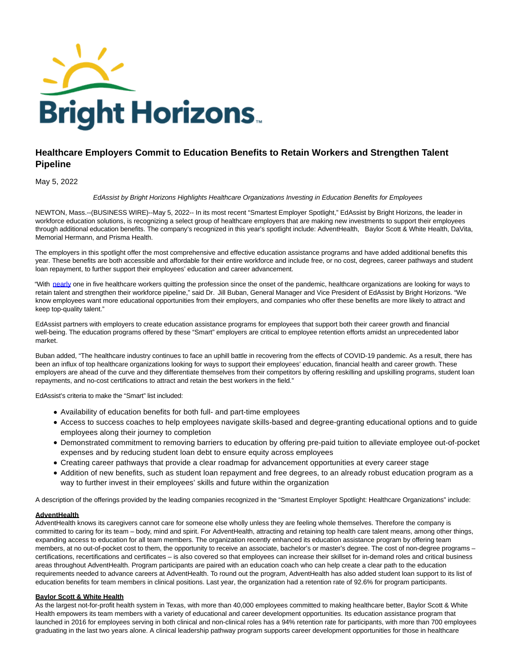

# **Healthcare Employers Commit to Education Benefits to Retain Workers and Strengthen Talent Pipeline**

# May 5, 2022

#### EdAssist by Bright Horizons Highlights Healthcare Organizations Investing in Education Benefits for Employees

NEWTON, Mass.--(BUSINESS WIRE)--May 5, 2022-- In its most recent "Smartest Employer Spotlight," EdAssist by Bright Horizons, the leader in workforce education solutions, is recognizing a select group of healthcare employers that are making new investments to support their employees through additional education benefits. The company's recognized in this year's spotlight include: AdventHealth, Baylor Scott & White Health, DaVita, Memorial Hermann, and Prisma Health.

The employers in this spotlight offer the most comprehensive and effective education assistance programs and have added additional benefits this year. These benefits are both accessible and affordable for their entire workforce and include free, or no cost, degrees, career pathways and student loan repayment, to further support their employees' education and career advancement.

"With [nearly o](https://cts.businesswire.com/ct/CT?id=smartlink&url=https%3A%2F%2Fmorningconsult.com%2F2021%2F10%2F04%2Fhealth-care-workers-series-part-2-workforce%2F&esheet=52709554&newsitemid=20220505005751&lan=en-US&anchor=nearly&index=1&md5=fac8f8efa5efadc36ab9c498f9d42aa9)ne in five healthcare workers quitting the profession since the onset of the pandemic, healthcare organizations are looking for ways to retain talent and strengthen their workforce pipeline," said Dr. Jill Buban, General Manager and Vice President of EdAssist by Bright Horizons. "We know employees want more educational opportunities from their employers, and companies who offer these benefits are more likely to attract and keep top-quality talent."

EdAssist partners with employers to create education assistance programs for employees that support both their career growth and financial well-being. The education programs offered by these "Smart" employers are critical to employee retention efforts amidst an unprecedented labor market.

Buban added, "The healthcare industry continues to face an uphill battle in recovering from the effects of COVID-19 pandemic. As a result, there has been an influx of top healthcare organizations looking for ways to support their employees' education, financial health and career growth. These employers are ahead of the curve and they differentiate themselves from their competitors by offering reskilling and upskilling programs, student loan repayments, and no-cost certifications to attract and retain the best workers in the field."

EdAssist's criteria to make the "Smart" list included:

- Availability of education benefits for both full- and part-time employees
- Access to success coaches to help employees navigate skills-based and degree-granting educational options and to guide employees along their journey to completion
- Demonstrated commitment to removing barriers to education by offering pre-paid tuition to alleviate employee out-of-pocket expenses and by reducing student loan debt to ensure equity across employees
- Creating career pathways that provide a clear roadmap for advancement opportunities at every career stage
- Addition of new benefits, such as student loan repayment and free degrees, to an already robust education program as a way to further invest in their employees' skills and future within the organization

A description of the offerings provided by the leading companies recognized in the "Smartest Employer Spotlight: Healthcare Organizations" include:

### **AdventHealth**

AdventHealth knows its caregivers cannot care for someone else wholly unless they are feeling whole themselves. Therefore the company is committed to caring for its team – body, mind and spirit. For AdventHealth, attracting and retaining top health care talent means, among other things, expanding access to education for all team members. The organization recently enhanced its education assistance program by offering team members, at no out-of-pocket cost to them, the opportunity to receive an associate, bachelor's or master's degree. The cost of non-degree programs – certifications, recertifications and certificates – is also covered so that employees can increase their skillset for in-demand roles and critical business areas throughout AdventHealth. Program participants are paired with an education coach who can help create a clear path to the education requirements needed to advance careers at AdventHealth. To round out the program, AdventHealth has also added student loan support to its list of education benefits for team members in clinical positions. Last year, the organization had a retention rate of 92.6% for program participants.

### **Baylor Scott & White Health**

As the largest not-for-profit health system in Texas, with more than 40,000 employees committed to making healthcare better, Baylor Scott & White Health empowers its team members with a variety of educational and career development opportunities. Its education assistance program that launched in 2016 for employees serving in both clinical and non-clinical roles has a 94% retention rate for participants, with more than 700 employees graduating in the last two years alone. A clinical leadership pathway program supports career development opportunities for those in healthcare